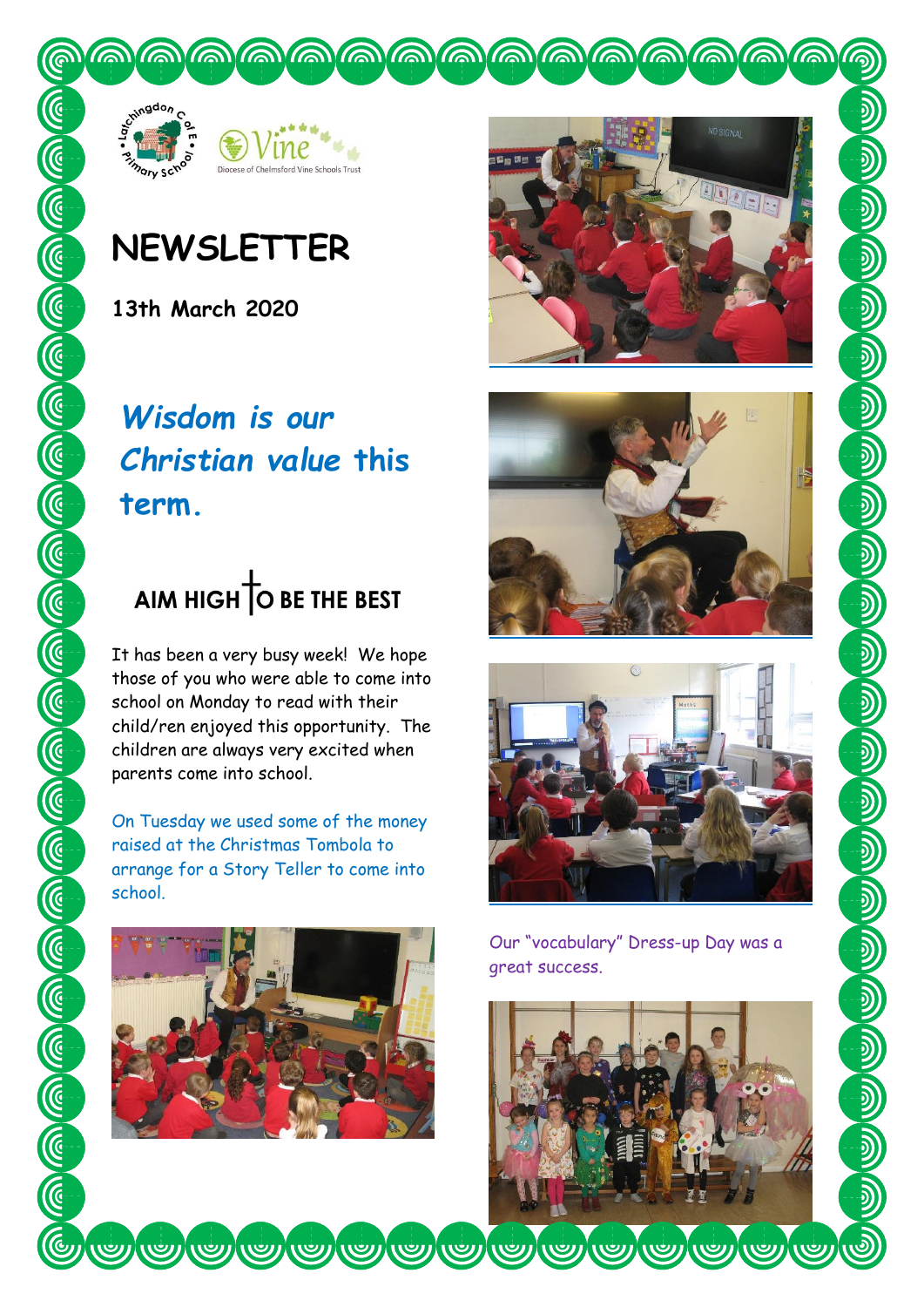



## **NEWSLETTER**

**13th March 2020**

## *Wisdom is our Christian value* **this term.**

# AIM HIGH O BE THE BEST

It has been a very busy week! We hope those of you who were able to come into school on Monday to read with their child/ren enjoyed this opportunity. The children are always very excited when parents come into school.

On Tuesday we used some of the money raised at the Christmas Tombola to arrange for a Story Teller to come into school.









Our "vocabulary" Dress-up Day was a great success.

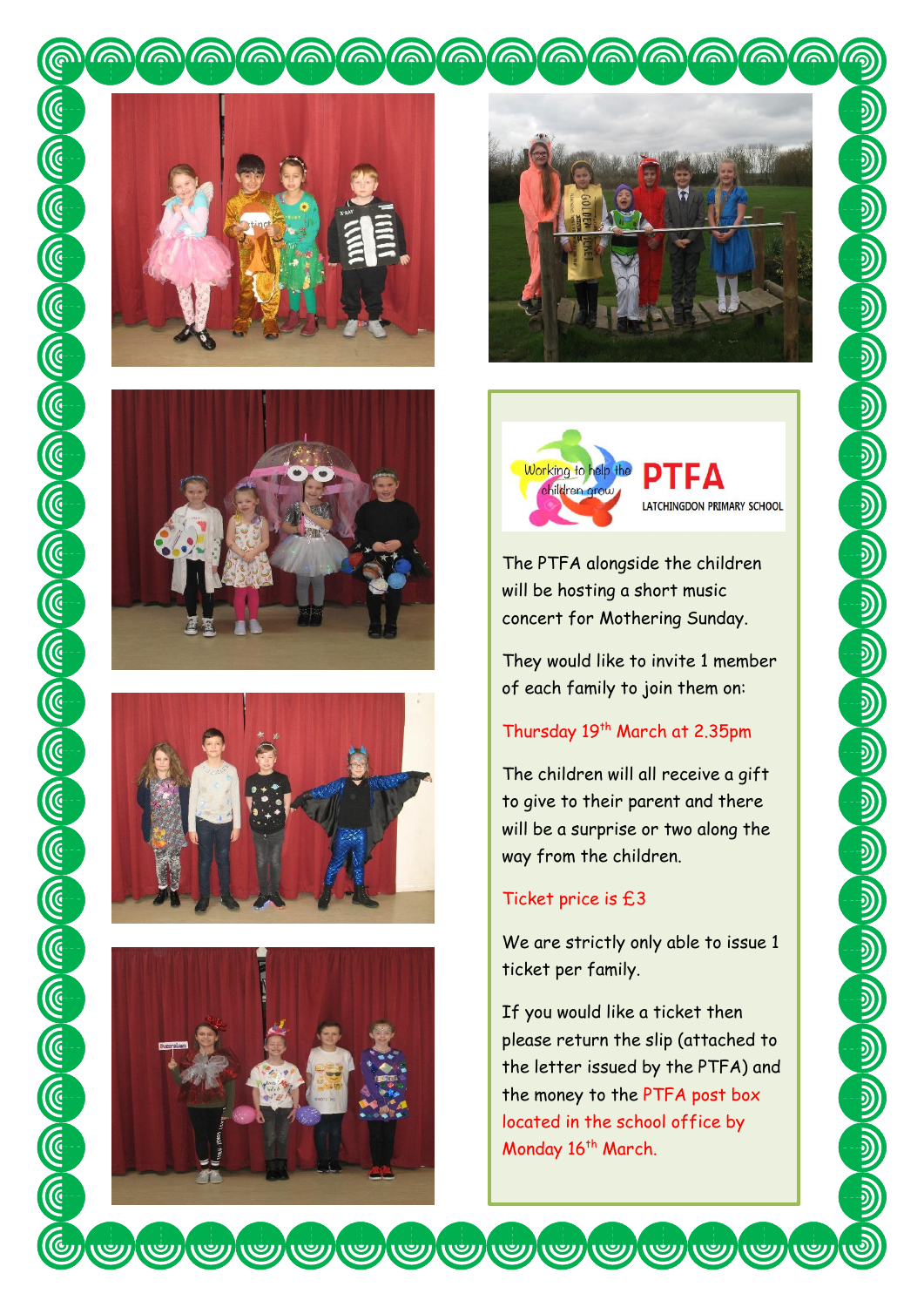











The PTFA alongside the children will be hosting a short music concert for Mothering Sunday.

They would like to invite 1 member of each family to join them on:

## Thursday 19<sup>th</sup> March at 2.35pm

The children will all receive a gift to give to their parent and there will be a surprise or two along the way from the children.

## Ticket price is £3

We are strictly only able to issue 1 ticket per family.

If you would like a ticket then please return the slip (attached to the letter issued by the PTFA) and the money to the PTFA post box located in the school office by Monday 16<sup>th</sup> March.

We look for which the seeing you.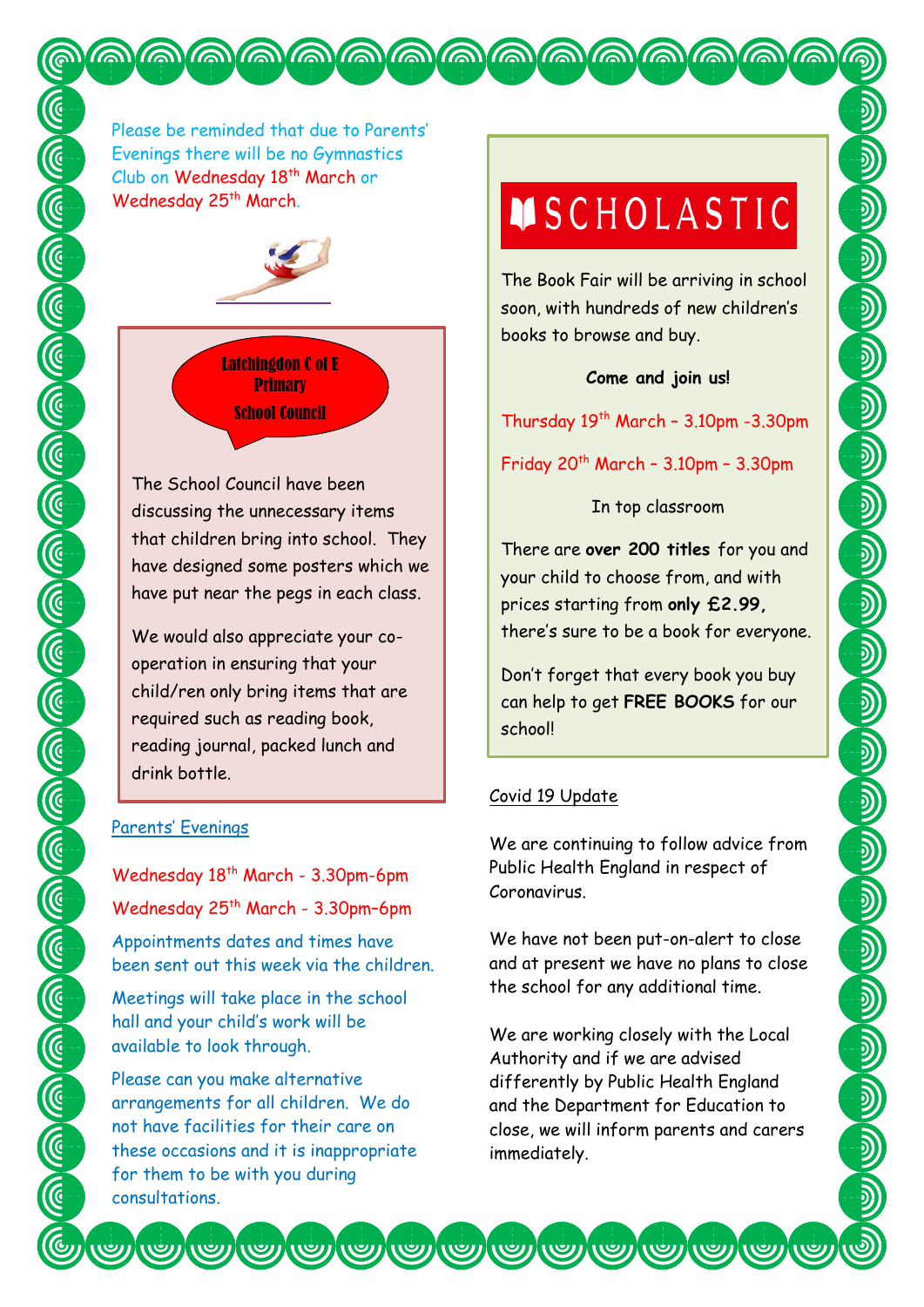Please be reminded that due to Parents' Evenings there will be no Gymnastics Club on Wednesday 18<sup>th</sup> March or Wednesday 25<sup>th</sup> March.



QQQQQQQQQQQQQQQQQQQ

Latchingdon C of E **Primary** School Council

The School Council have been discussing the unnecessary items that children bring into school. They have designed some posters which we have put near the pegs in each class.

We would also appreciate your cooperation in ensuring that your child/ren only bring items that are required such as reading book, reading journal, packed lunch and drink bottle.

### Parents' Evenings

Wednesday 18<sup>th</sup> March - 3.30pm-6pm Wednesday 25<sup>th</sup> March - 3.30pm-6pm Appointments dates and times have been sent out this week via the children.

Meetings will take place in the school hall and your child's work will be available to look through.

Please can you make alternative arrangements for all children. We do not have facilities for their care on these occasions and it is inappropriate for them to be with you during consultations.

# **MSCHOLASTIC**

The Book Fair will be arriving in school soon, with hundreds of new children's books to browse and buy.

## **Come and join us!**

Thursday  $19<sup>th</sup>$  March - 3.10pm -3.30pm

Friday  $20<sup>th</sup>$  March - 3.10pm - 3.30pm

## In top classroom

There are **over 200 titles** for you and your child to choose from, and with prices starting from **only £2.99,**  there's sure to be a book for everyone. Don't forget that every book you buy can help to get **FREE BOOKS** for our school!

## Covid 19 Update

We are continuing to follow advice from Public Health England in respect of Coronavirus.

We have not been put-on-alert to close and at present we have no plans to close the school for any additional time.

We are working closely with the Local Authority and if we are advised differently by Public Health England and the Department for Education to close, we will inform parents and carers immediately.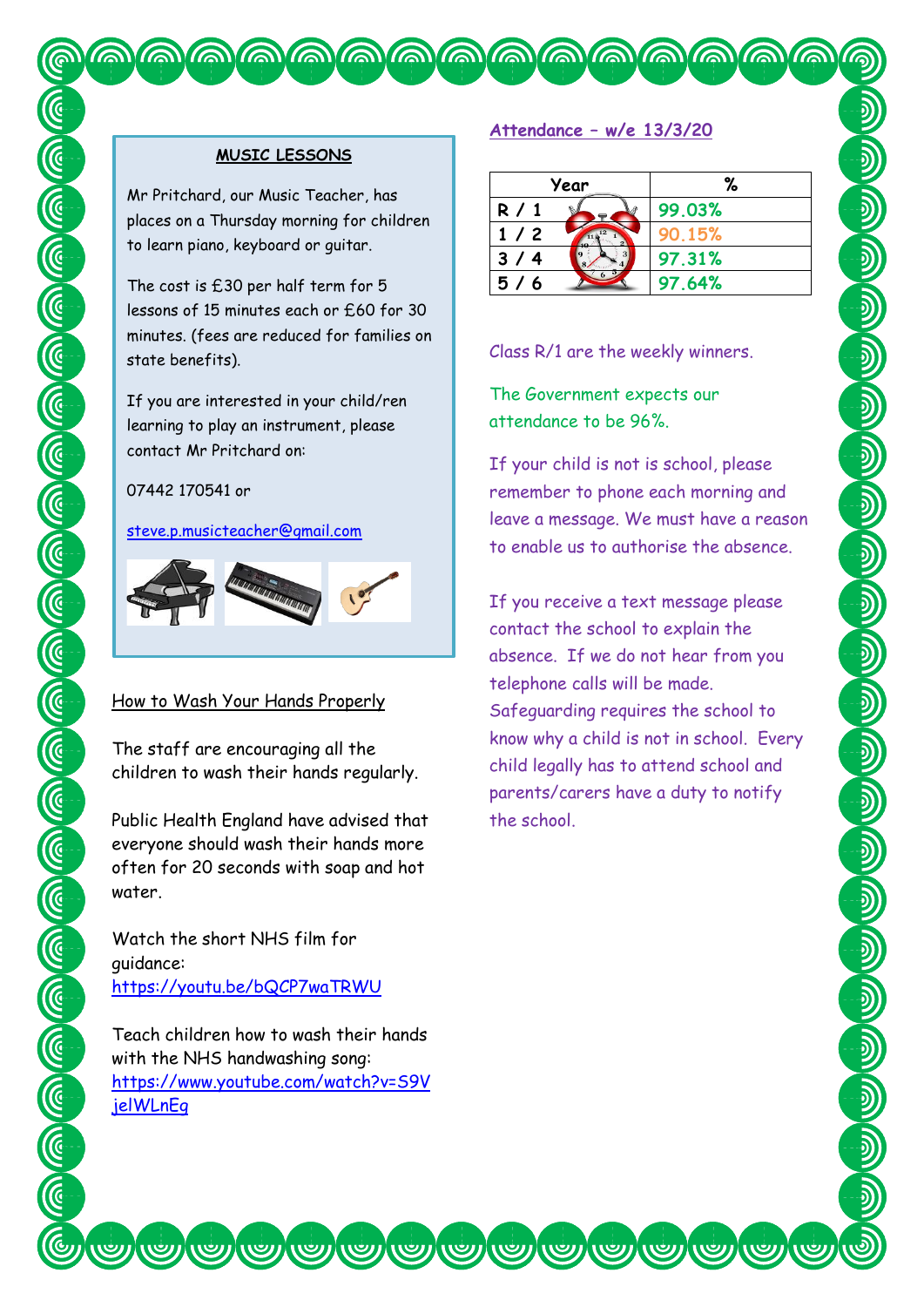#### **MUSIC LESSONS**

Mr Pritchard, our Music Teacher, has places on a Thursday morning for children to learn piano, keyboard or guitar.

The cost is £30 per half term for 5 lessons of 15 minutes each or £60 for 30 minutes. (fees are reduced for families on state benefits).

If you are interested in your child/ren learning to play an instrument, please contact Mr Pritchard on:

07442 170541 or

[steve.p.musicteacher@gmail.com](mailto:steve.p.musicteacher@gmail.com)



#### How to Wash Your Hands Properly

The staff are encouraging all the children to wash their hands regularly.

Public Health England have advised that everyone should wash their hands more often for 20 seconds with soap and hot water.

Watch the short NHS film for guidance: <https://youtu.be/bQCP7waTRWU>

Teach children how to wash their hands with the NHS handwashing song: [https://www.youtube.com/watch?v=S9V](https://www.youtube.com/watch?v=S9VjelWLnEg) [jelWLnEg](https://www.youtube.com/watch?v=S9VjelWLnEg)

#### **Attendance – w/e 13/3/20**

QQQQQQQQQQQQQQQQQQQ

| Year  |  | %      |
|-------|--|--------|
| R / 1 |  | 99.03% |
| 1/2   |  | 90.15% |
| 3/4   |  | 97.31% |
| 5/6   |  | 97.64% |

Class R/1 are the weekly winners.

The Government expects our attendance to be 96%.

If your child is not is school, please remember to phone each morning and leave a message. We must have a reason to enable us to authorise the absence.

If you receive a text message please contact the school to explain the absence. If we do not hear from you telephone calls will be made. Safeguarding requires the school to know why a child is not in school. Every child legally has to attend school and parents/carers have a duty to notify the school.